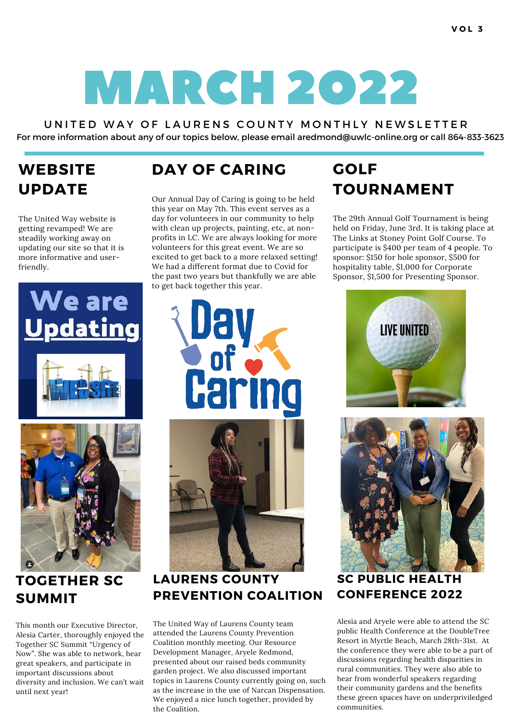# MARCH 2O22

#### UNITED WAY OF LAURENS COUNTY MONTHLY NEWSLETTER

For more information about any of our topics below, please email aredmond@uwlc-online.org or call 864-833-3623

### **WEBSITE UPDATE**

The United Way website is getting revamped! We are steadily working away on updating our site so that it is more informative and userfriendly.

## We are <u>Updating</u>



**TOGETHER SC SUMMIT**

This month our Executive Director, Alesia Carter, thoroughly enjoyed the Together SC Summit "Urgency of Now". She was able to network, hear great speakers, and participate in important discussions about diversity and inclusion. We can't wait until next year!

## **DAY OF CARING**

Our Annual Day of Caring is going to be held this year on May 7th. This event serves as a day for volunteers in our community to help with clean up projects, painting, etc, at nonprofits in LC. We are always looking for more volunteers for this great event. We are so excited to get back to a more relaxed setting! We had a different format due to Covid for the past two years but thankfully we are able to get back together this year.



#### **LAURENS COUNTY PREVENTION COALITION**

The United Way of Laurens County team attended the Laurens County Prevention Coalition monthly meeting. Our Resource Development Manager, Aryele Redmond, presented about our raised beds community garden project. We also discussed important topics in Laurens County currently going on, such as the increase in the use of Narcan Dispensation. We enjoyed a nice lunch together, provided by the Coalition.

## **GOLF TOURNAMENT**

The 29th Annual Golf Tournament is being held on Friday, June 3rd. It is taking place at The Links at Stoney Point Golf Course. To participate is \$400 per team of 4 people. To sponsor: \$150 for hole sponsor, \$500 for hospitality table, \$1,000 for Corporate Sponsor, \$1,500 for Presenting Sponsor.





**SC PUBLIC HEALTH CONFERENCE 2022**

Alesia and Aryele were able to attend the SC public Health Conference at the DoubleTree Resort in Myrtle Beach, March 28th-31st. At the conference they were able to be a part of discussions regarding health disparities in rural communities. They were also able to hear from wonderful speakers regarding their community gardens and the benefits these green spaces have on underpriviledged communities.